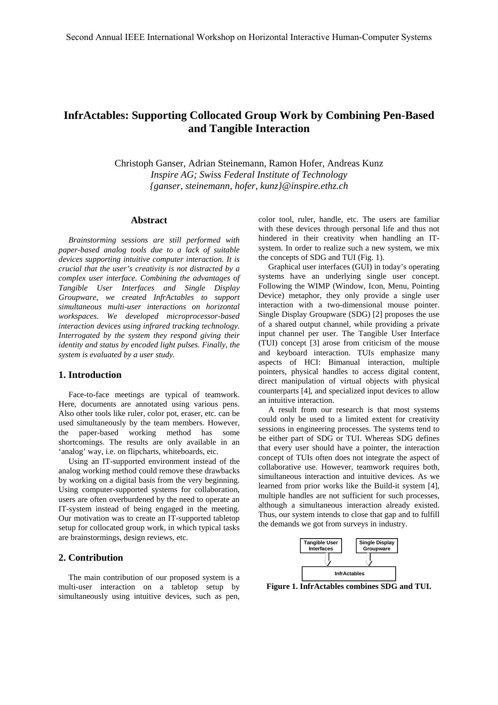# **InfrActables: Supporting Collocated Group Work by Combining Pen-Based and Tangible Interaction**

Christoph Ganser, Adrian Steinemann, Ramon Hofer, Andreas Kunz *Inspire AG; Swiss Federal Institute of Technology {ganser, steinemann, hofer, kunz}@inspire.ethz.ch* 

#### **Abstract**

*Brainstorming sessions are still performed with paper-based analog tools due to a lack of suitable devices supporting intuitive computer interaction. It is crucial that the user's creativity is not distracted by a complex user interface. Combining the advantages of Tangible User Interfaces and Single Display Groupware, we created InfrActables to support simultaneous multi-user interactions on horizontal workspaces. We developed microprocessor-based interaction devices using infrared tracking technology. Interrogated by the system they respond giving their identity and status by encoded light pulses. Finally, the system is evaluated by a user study.* 

### **1. Introduction**

Face-to-face meetings are typical of teamwork. Here, documents are annotated using various pens. Also other tools like ruler, color pot, eraser, etc. can be used simultaneously by the team members. However, the paper-based working method has some shortcomings. The results are only available in an 'analog' way, i.e. on flipcharts, whiteboards, etc.

Using an IT-supported environment instead of the analog working method could remove these drawbacks by working on a digital basis from the very beginning. Using computer-supported systems for collaboration, users are often overburdened by the need to operate an IT-system instead of being engaged in the meeting. Our motivation was to create an IT-supported tabletop setup for collocated group work, in which typical tasks are brainstormings, design reviews, etc.

## **2. Contribution**

The main contribution of our proposed system is a multi-user interaction on a tabletop setup by simultaneously using intuitive devices, such as pen, color tool, ruler, handle, etc. The users are familiar with these devices through personal life and thus not hindered in their creativity when handling an ITsystem. In order to realize such a new system, we mix the concepts of SDG and TUI (Fig. 1).

Graphical user interfaces (GUI) in today's operating systems have an underlying single user concept. Following the WIMP (Window, Icon, Menu, Pointing Device) metaphor, they only provide a single user interaction with a two-dimensional mouse pointer. Single Display Groupware (SDG) [2] proposes the use of a shared output channel, while providing a private input channel per user. The Tangible User Interface (TUI) concept [3] arose from criticism of the mouse and keyboard interaction. TUIs emphasize many aspects of HCI: Bimanual interaction, multiple pointers, physical handles to access digital content, direct manipulation of virtual objects with physical counterparts [4], and specialized input devices to allow an intuitive interaction.

A result from our research is that most systems could only be used to a limited extent for creativity sessions in engineering processes. The systems tend to be either part of SDG or TUI. Whereas SDG defines that every user should have a pointer, the interaction concept of TUIs often does not integrate the aspect of collaborative use. However, teamwork requires both, simultaneous interaction and intuitive devices. As we learned from prior works like the Build-it system [4], multiple handles are not sufficient for such processes, although a simultaneous interaction already existed. Thus, our system intends to close that gap and to fulfill the demands we got from surveys in industry.



**Figure 1. InfrActables combines SDG and TUI.**